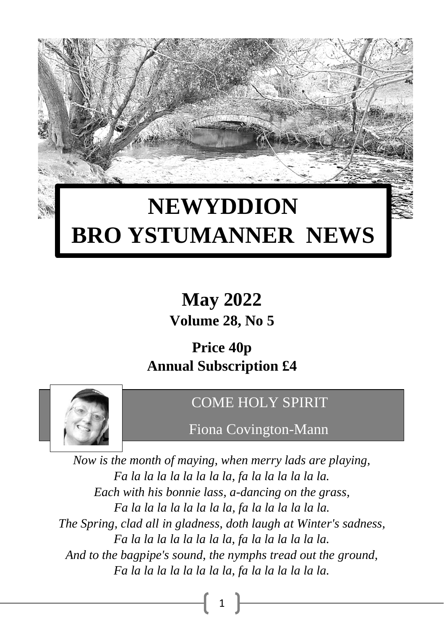# **NEWYDDION BRO YSTUMANNER NEWS**

**May 2022 Volume 28, No 5**

### **Price 40p Annual Subscription £4**



### COME HOLY SPIRIT

Fiona Covington-Mann

*Now is the month of maying, when merry lads are playing, Fa la la la la la la la la, fa la la la la la la. Each with his bonnie lass, a-dancing on the grass, Fa la la la la la la la la, fa la la la la la la. The Spring, clad all in gladness, doth laugh at Winter's sadness, Fa la la la la la la la la, fa la la la la la la. And to the bagpipe's sound, the nymphs tread out the ground, Fa la la la la la la la la, fa la la la la la la.*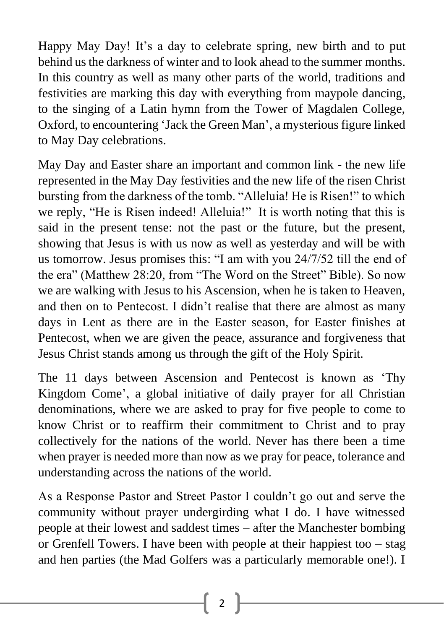Happy May Day! It's a day to celebrate spring, new birth and to put behind us the darkness of winter and to look ahead to the summer months. In this country as well as many other parts of the world, traditions and festivities are marking this day with everything from maypole dancing, to the singing of a Latin hymn from the Tower of Magdalen College, Oxford, to encountering 'Jack the Green Man', a mysterious figure linked to May Day celebrations.

May Day and Easter share an important and common link - the new life represented in the May Day festivities and the new life of the risen Christ bursting from the darkness of the tomb. "Alleluia! He is Risen!" to which we reply, "He is Risen indeed! Alleluia!" It is worth noting that this is said in the present tense: not the past or the future, but the present, showing that Jesus is with us now as well as yesterday and will be with us tomorrow. Jesus promises this: "I am with you 24/7/52 till the end of the era" (Matthew 28:20, from "The Word on the Street" Bible). So now we are walking with Jesus to his Ascension, when he is taken to Heaven, and then on to Pentecost. I didn't realise that there are almost as many days in Lent as there are in the Easter season, for Easter finishes at Pentecost, when we are given the peace, assurance and forgiveness that Jesus Christ stands among us through the gift of the Holy Spirit.

The 11 days between Ascension and Pentecost is known as 'Thy Kingdom Come', a global initiative of daily prayer for all Christian denominations, where we are asked to pray for five people to come to know Christ or to reaffirm their commitment to Christ and to pray collectively for the nations of the world. Never has there been a time when prayer is needed more than now as we pray for peace, tolerance and understanding across the nations of the world.

As a Response Pastor and Street Pastor I couldn't go out and serve the community without prayer undergirding what I do. I have witnessed people at their lowest and saddest times – after the Manchester bombing or Grenfell Towers. I have been with people at their happiest too – stag and hen parties (the Mad Golfers was a particularly memorable one!). I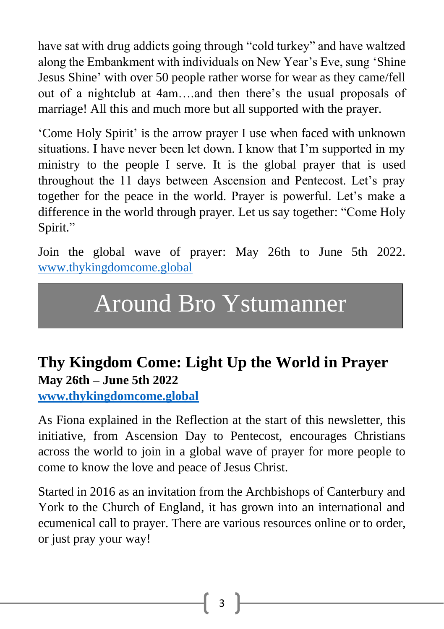have sat with drug addicts going through "cold turkey" and have waltzed along the Embankment with individuals on New Year's Eve, sung 'Shine Jesus Shine' with over 50 people rather worse for wear as they came/fell out of a nightclub at 4am….and then there's the usual proposals of marriage! All this and much more but all supported with the prayer.

'Come Holy Spirit' is the arrow prayer I use when faced with unknown situations. I have never been let down. I know that I'm supported in my ministry to the people I serve. It is the global prayer that is used throughout the 11 days between Ascension and Pentecost. Let's pray together for the peace in the world. Prayer is powerful. Let's make a difference in the world through prayer. Let us say together: "Come Holy Spirit."

Join the global wave of prayer: May 26th to June 5th 2022. [www.thykingdomcome.global](http://www.thykingdomcome.global/)

# Around Bro Ystumanner

### **Thy Kingdom Come: Light Up the World in Prayer May 26th – June 5th 2022**

**[www.thykingdomcome.global](http://www.thykingdomcome.global/)**

As Fiona explained in the Reflection at the start of this newsletter, this initiative, from Ascension Day to Pentecost, encourages Christians across the world to join in a global wave of prayer for more people to come to know the love and peace of Jesus Christ.

Started in 2016 as an invitation from the Archbishops of Canterbury and York to the Church of England, it has grown into an international and ecumenical call to prayer. There are various resources online or to order, or just pray your way!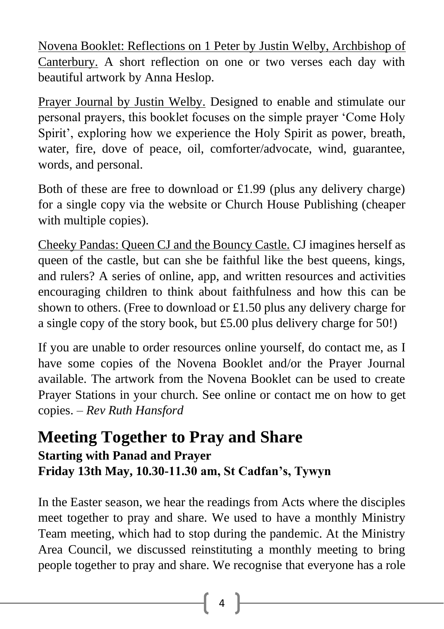Novena Booklet: Reflections on 1 Peter by Justin Welby, Archbishop of Canterbury. A short reflection on one or two verses each day with beautiful artwork by Anna Heslop.

Prayer Journal by Justin Welby. Designed to enable and stimulate our personal prayers, this booklet focuses on the simple prayer 'Come Holy Spirit', exploring how we experience the Holy Spirit as power, breath, water, fire, dove of peace, oil, comforter/advocate, wind, guarantee, words, and personal.

Both of these are free to download or £1.99 (plus any delivery charge) for a single copy via the website or Church House Publishing (cheaper with multiple copies).

Cheeky Pandas: Queen CJ and the Bouncy Castle. CJ imagines herself as queen of the castle, but can she be faithful like the best queens, kings, and rulers? A series of online, app, and written resources and activities encouraging children to think about faithfulness and how this can be shown to others. (Free to download or £1.50 plus any delivery charge for a single copy of the story book, but £5.00 plus delivery charge for 50!)

If you are unable to order resources online yourself, do contact me, as I have some copies of the Novena Booklet and/or the Prayer Journal available. The artwork from the Novena Booklet can be used to create Prayer Stations in your church. See online or contact me on how to get copies. – *Rev Ruth Hansford*

### **Meeting Together to Pray and Share Starting with Panad and Prayer Friday 13th May, 10.30-11.30 am, St Cadfan's, Tywyn**

In the Easter season, we hear the readings from Acts where the disciples meet together to pray and share. We used to have a monthly Ministry Team meeting, which had to stop during the pandemic. At the Ministry Area Council, we discussed reinstituting a monthly meeting to bring people together to pray and share. We recognise that everyone has a role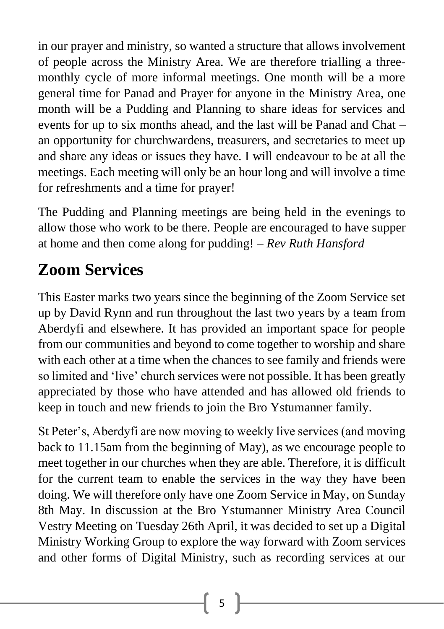in our prayer and ministry, so wanted a structure that allows involvement of people across the Ministry Area. We are therefore trialling a threemonthly cycle of more informal meetings. One month will be a more general time for Panad and Prayer for anyone in the Ministry Area, one month will be a Pudding and Planning to share ideas for services and events for up to six months ahead, and the last will be Panad and Chat – an opportunity for churchwardens, treasurers, and secretaries to meet up and share any ideas or issues they have. I will endeavour to be at all the meetings. Each meeting will only be an hour long and will involve a time for refreshments and a time for prayer!

The Pudding and Planning meetings are being held in the evenings to allow those who work to be there. People are encouraged to have supper at home and then come along for pudding! – *Rev Ruth Hansford*

## **Zoom Services**

This Easter marks two years since the beginning of the Zoom Service set up by David Rynn and run throughout the last two years by a team from Aberdyfi and elsewhere. It has provided an important space for people from our communities and beyond to come together to worship and share with each other at a time when the chances to see family and friends were so limited and 'live' church services were not possible. It has been greatly appreciated by those who have attended and has allowed old friends to keep in touch and new friends to join the Bro Ystumanner family.

St Peter's, Aberdyfi are now moving to weekly live services (and moving back to 11.15am from the beginning of May), as we encourage people to meet together in our churches when they are able. Therefore, it is difficult for the current team to enable the services in the way they have been doing. We will therefore only have one Zoom Service in May, on Sunday 8th May. In discussion at the Bro Ystumanner Ministry Area Council Vestry Meeting on Tuesday 26th April, it was decided to set up a Digital Ministry Working Group to explore the way forward with Zoom services and other forms of Digital Ministry, such as recording services at our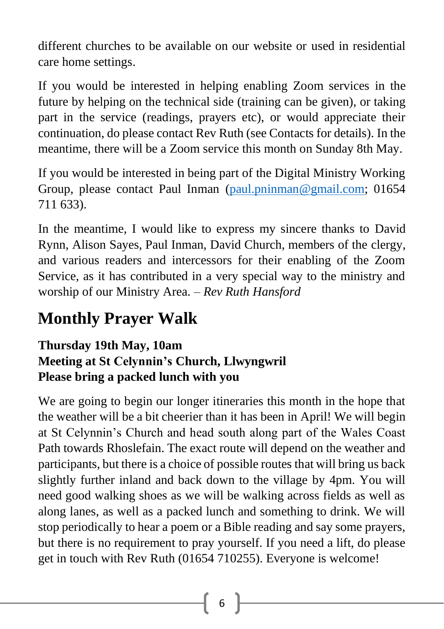different churches to be available on our website or used in residential care home settings.

If you would be interested in helping enabling Zoom services in the future by helping on the technical side (training can be given), or taking part in the service (readings, prayers etc), or would appreciate their continuation, do please contact Rev Ruth (see Contacts for details). In the meantime, there will be a Zoom service this month on Sunday 8th May.

If you would be interested in being part of the Digital Ministry Working Group, please contact Paul Inman [\(paul.pninman@gmail.com;](mailto:paul.pninman@gmail.com) 01654 711 633).

In the meantime, I would like to express my sincere thanks to David Rynn, Alison Sayes, Paul Inman, David Church, members of the clergy, and various readers and intercessors for their enabling of the Zoom Service, as it has contributed in a very special way to the ministry and worship of our Ministry Area. – *Rev Ruth Hansford*

## **Monthly Prayer Walk**

### **Thursday 19th May, 10am Meeting at St Celynnin's Church, Llwyngwril Please bring a packed lunch with you**

We are going to begin our longer itineraries this month in the hope that the weather will be a bit cheerier than it has been in April! We will begin at St Celynnin's Church and head south along part of the Wales Coast Path towards Rhoslefain. The exact route will depend on the weather and participants, but there is a choice of possible routes that will bring us back slightly further inland and back down to the village by 4pm. You will need good walking shoes as we will be walking across fields as well as along lanes, as well as a packed lunch and something to drink. We will stop periodically to hear a poem or a Bible reading and say some prayers, but there is no requirement to pray yourself. If you need a lift, do please get in touch with Rev Ruth (01654 710255). Everyone is welcome!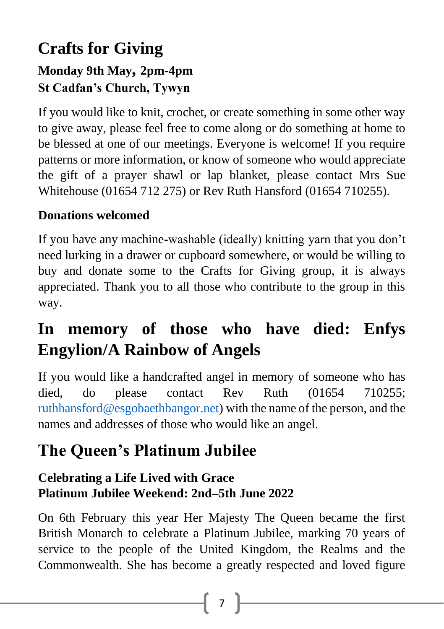### **Crafts for Giving Monday 9th May, 2pm-4pm St Cadfan's Church, Tywyn**

If you would like to knit, crochet, or create something in some other way to give away, please feel free to come along or do something at home to be blessed at one of our meetings. Everyone is welcome! If you require patterns or more information, or know of someone who would appreciate the gift of a prayer shawl or lap blanket, please contact Mrs Sue Whitehouse (01654 712 275) or Rev Ruth Hansford (01654 710255).

### **Donations welcomed**

If you have any machine-washable (ideally) knitting yarn that you don't need lurking in a drawer or cupboard somewhere, or would be willing to buy and donate some to the Crafts for Giving group, it is always appreciated. Thank you to all those who contribute to the group in this way.

## **In memory of those who have died: Enfys Engylion/A Rainbow of Angels**

If you would like a handcrafted angel in memory of someone who has died, do please contact Rev Ruth (01654 710255; [ruthhansford@esgobaethbangor.net\)](mailto:ruthhansford@esgobaethbangor.net) with the name of the person, and the names and addresses of those who would like an angel.

### **The Queen's Platinum Jubilee**

### **Celebrating a Life Lived with Grace Platinum Jubilee Weekend: 2nd–5th June 2022**

On 6th February this year Her Majesty The Queen became the first British Monarch to celebrate a Platinum Jubilee, marking 70 years of service to the people of the United Kingdom, the Realms and the Commonwealth. She has become a greatly respected and loved figure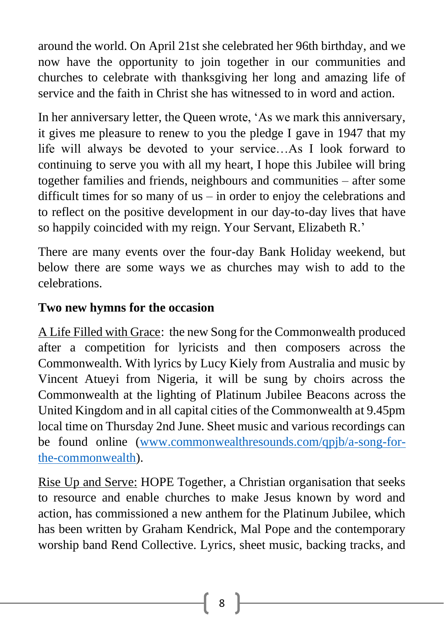around the world. On April 21st she celebrated her 96th birthday, and we now have the opportunity to join together in our communities and churches to celebrate with thanksgiving her long and amazing life of service and the faith in Christ she has witnessed to in word and action.

In her anniversary letter, the Queen wrote, 'As we mark this anniversary, it gives me pleasure to renew to you the pledge I gave in 1947 that my life will always be devoted to your service…As I look forward to continuing to serve you with all my heart, I hope this Jubilee will bring together families and friends, neighbours and communities – after some difficult times for so many of us – in order to enjoy the celebrations and to reflect on the positive development in our day-to-day lives that have so happily coincided with my reign. Your Servant, Elizabeth R.'

There are many events over the four-day Bank Holiday weekend, but below there are some ways we as churches may wish to add to the celebrations.

#### **Two new hymns for the occasion**

A Life Filled with Grace: the new Song for the Commonwealth produced after a competition for lyricists and then composers across the Commonwealth. With lyrics by Lucy Kiely from Australia and music by Vincent Atueyi from Nigeria, it will be sung by choirs across the Commonwealth at the lighting of Platinum Jubilee Beacons across the United Kingdom and in all capital cities of the Commonwealth at 9.45pm local time on Thursday 2nd June. Sheet music and various recordings can be found online [\(www.commonwealthresounds.com/qpjb/a-song-for](/Users/ruthhansford/Library/Containers/com.apple.mail/Data/Library/Mail%20Downloads/08EEE406-D887-4934-BCD7-969112A41264/www.commonwealthresounds.com/qpjb/a-song-for-the-commonwealth)[the-commonwealth\)](/Users/ruthhansford/Library/Containers/com.apple.mail/Data/Library/Mail%20Downloads/08EEE406-D887-4934-BCD7-969112A41264/www.commonwealthresounds.com/qpjb/a-song-for-the-commonwealth).

Rise Up and Serve: HOPE Together, a Christian organisation that seeks to resource and enable churches to make Jesus known by word and action, has commissioned a new anthem for the Platinum Jubilee, which has been written by Graham Kendrick, Mal Pope and the contemporary worship band Rend Collective. Lyrics, sheet music, backing tracks, and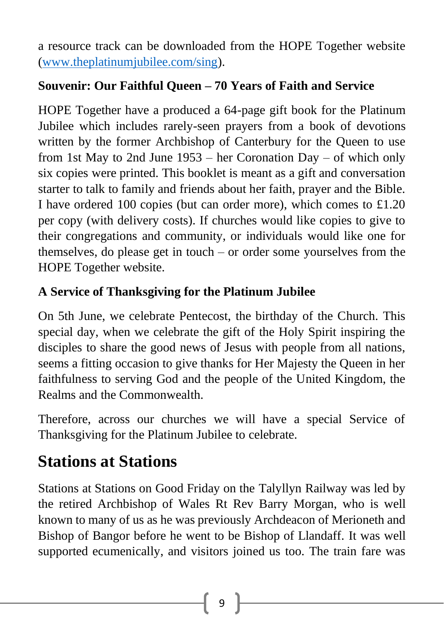a resource track can be downloaded from the HOPE Together website [\(www.theplatinumjubilee.com/sing\)](/Users/ruthhansford/Library/Containers/com.apple.mail/Data/Library/Mail%20Downloads/08EEE406-D887-4934-BCD7-969112A41264/www.theplatinumjubilee.com/sing).

### **Souvenir: Our Faithful Queen – 70 Years of Faith and Service**

HOPE Together have a produced a 64-page gift book for the Platinum Jubilee which includes rarely-seen prayers from a book of devotions written by the former Archbishop of Canterbury for the Queen to use from 1st May to 2nd June 1953 – her Coronation Day – of which only six copies were printed. This booklet is meant as a gift and conversation starter to talk to family and friends about her faith, prayer and the Bible. I have ordered 100 copies (but can order more), which comes to £1.20 per copy (with delivery costs). If churches would like copies to give to their congregations and community, or individuals would like one for themselves, do please get in touch – or order some yourselves from the HOPE Together website.

### **A Service of Thanksgiving for the Platinum Jubilee**

On 5th June, we celebrate Pentecost, the birthday of the Church. This special day, when we celebrate the gift of the Holy Spirit inspiring the disciples to share the good news of Jesus with people from all nations, seems a fitting occasion to give thanks for Her Majesty the Queen in her faithfulness to serving God and the people of the United Kingdom, the Realms and the Commonwealth.

Therefore, across our churches we will have a special Service of Thanksgiving for the Platinum Jubilee to celebrate.

## **Stations at Stations**

Stations at Stations on Good Friday on the Talyllyn Railway was led by the retired Archbishop of Wales Rt Rev Barry Morgan, who is well known to many of us as he was previously Archdeacon of Merioneth and Bishop of Bangor before he went to be Bishop of Llandaff. It was well supported ecumenically, and visitors joined us too. The train fare was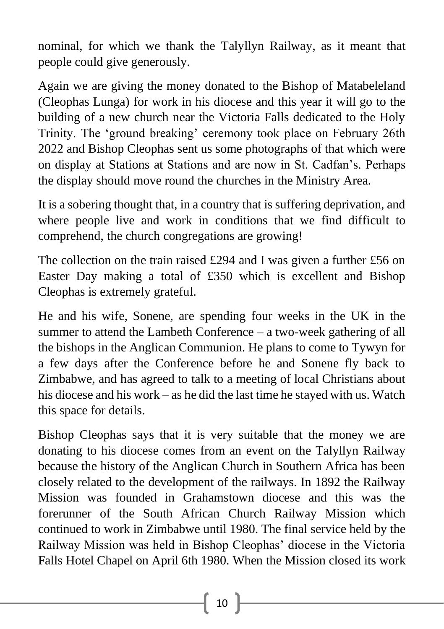nominal, for which we thank the Talyllyn Railway, as it meant that people could give generously.

Again we are giving the money donated to the Bishop of Matabeleland (Cleophas Lunga) for work in his diocese and this year it will go to the building of a new church near the Victoria Falls dedicated to the Holy Trinity. The 'ground breaking' ceremony took place on February 26th 2022 and Bishop Cleophas sent us some photographs of that which were on display at Stations at Stations and are now in St. Cadfan's. Perhaps the display should move round the churches in the Ministry Area.

It is a sobering thought that, in a country that is suffering deprivation, and where people live and work in conditions that we find difficult to comprehend, the church congregations are growing!

The collection on the train raised £294 and I was given a further £56 on Easter Day making a total of £350 which is excellent and Bishop Cleophas is extremely grateful.

He and his wife, Sonene, are spending four weeks in the UK in the summer to attend the Lambeth Conference – a two-week gathering of all the bishops in the Anglican Communion. He plans to come to Tywyn for a few days after the Conference before he and Sonene fly back to Zimbabwe, and has agreed to talk to a meeting of local Christians about his diocese and his work – as he did the last time he stayed with us. Watch this space for details.

Bishop Cleophas says that it is very suitable that the money we are donating to his diocese comes from an event on the Talyllyn Railway because the history of the Anglican Church in Southern Africa has been closely related to the development of the railways. In 1892 the Railway Mission was founded in Grahamstown diocese and this was the forerunner of the South African Church Railway Mission which continued to work in Zimbabwe until 1980. The final service held by the Railway Mission was held in Bishop Cleophas' diocese in the Victoria Falls Hotel Chapel on April 6th 1980. When the Mission closed its work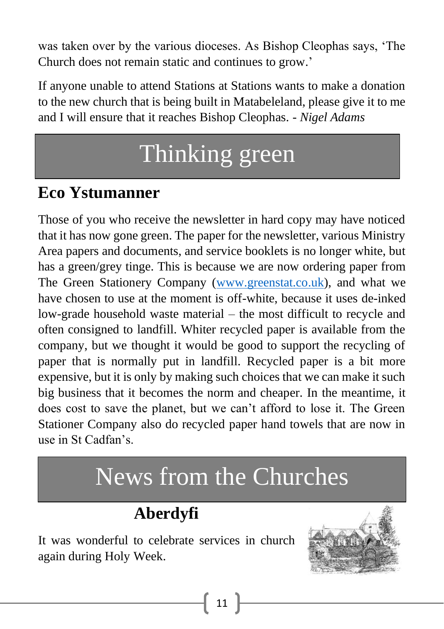was taken over by the various dioceses. As Bishop Cleophas says, 'The Church does not remain static and continues to grow.'

If anyone unable to attend Stations at Stations wants to make a donation to the new church that is being built in Matabeleland, please give it to me and I will ensure that it reaches Bishop Cleophas. *- Nigel Adams*

# Thinking green

## **Eco Ystumanner**

Those of you who receive the newsletter in hard copy may have noticed that it has now gone green. The paper for the newsletter, various Ministry Area papers and documents, and service booklets is no longer white, but has a green/grey tinge. This is because we are now ordering paper from The Green Stationery Company [\(www.greenstat.co.uk\)](/Users/ruthhansford/Library/Containers/com.apple.mail/Data/Library/Mail%20Downloads/08EEE406-D887-4934-BCD7-969112A41264/www.greenstat.co.uk), and what we have chosen to use at the moment is off-white, because it uses de-inked low-grade household waste material – the most difficult to recycle and often consigned to landfill. Whiter recycled paper is available from the company, but we thought it would be good to support the recycling of paper that is normally put in landfill. Recycled paper is a bit more expensive, but it is only by making such choices that we can make it such big business that it becomes the norm and cheaper. In the meantime, it does cost to save the planet, but we can't afford to lose it. The Green Stationer Company also do recycled paper hand towels that are now in use in St Cadfan's.

# News from the Churches

## **Aberdyfi**

It was wonderful to celebrate services in church again during Holy Week.

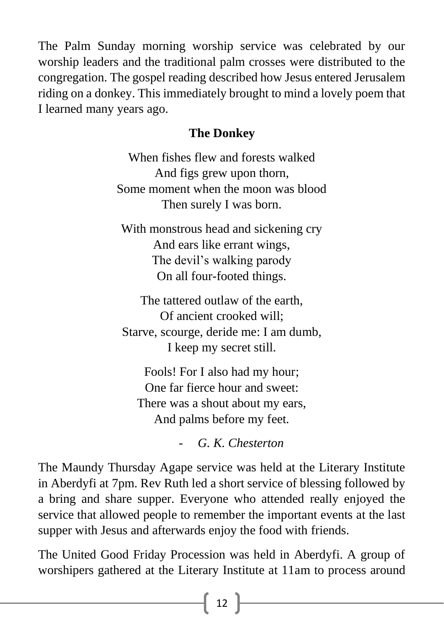The Palm Sunday morning worship service was celebrated by our worship leaders and the traditional palm crosses were distributed to the congregation. The gospel reading described how Jesus entered Jerusalem riding on a donkey. This immediately brought to mind a lovely poem that I learned many years ago.

### **The Donkey**

When fishes flew and forests walked And figs grew upon thorn, Some moment when the moon was blood Then surely I was born.

With monstrous head and sickening cry And ears like errant wings, The devil's walking parody On all four-footed things.

The tattered outlaw of the earth, Of ancient crooked will; Starve, scourge, deride me: I am dumb, I keep my secret still.

Fools! For I also had my hour; One far fierce hour and sweet: There was a shout about my ears, And palms before my feet.

- *G. K. Chesterton*

The Maundy Thursday Agape service was held at the Literary Institute in Aberdyfi at 7pm. Rev Ruth led a short service of blessing followed by a bring and share supper. Everyone who attended really enjoyed the service that allowed people to remember the important events at the last supper with Jesus and afterwards enjoy the food with friends.

The United Good Friday Procession was held in Aberdyfi. A group of worshipers gathered at the Literary Institute at 11am to process around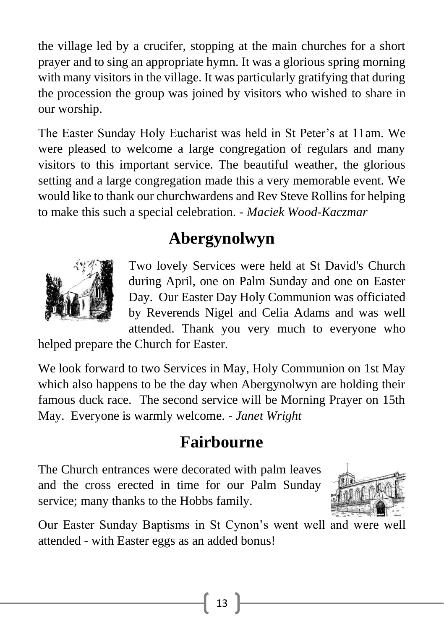the village led by a crucifer, stopping at the main churches for a short prayer and to sing an appropriate hymn. It was a glorious spring morning with many visitors in the village. It was particularly gratifying that during the procession the group was joined by visitors who wished to share in our worship.

The Easter Sunday Holy Eucharist was held in St Peter's at 11am. We were pleased to welcome a large congregation of regulars and many visitors to this important service. The beautiful weather, the glorious setting and a large congregation made this a very memorable event. We would like to thank our churchwardens and Rev Steve Rollins for helping to make this such a special celebration. - *Maciek Wood-Kaczmar*

### **Abergynolwyn**



Two lovely Services were held at St David's Church during April, one on Palm Sunday and one on Easter Day. Our Easter Day Holy Communion was officiated by Reverends Nigel and Celia Adams and was well attended. Thank you very much to everyone who

helped prepare the Church for Easter.

We look forward to two Services in May, Holy Communion on 1st May which also happens to be the day when Abergynolwyn are holding their famous duck race. The second service will be Morning Prayer on 15th May. Everyone is warmly welcome. - *Janet Wright*

## **Fairbourne**

The Church entrances were decorated with palm leaves and the cross erected in time for our Palm Sunday service; many thanks to the Hobbs family.



Our Easter Sunday Baptisms in St Cynon's went well and were well attended - with Easter eggs as an added bonus!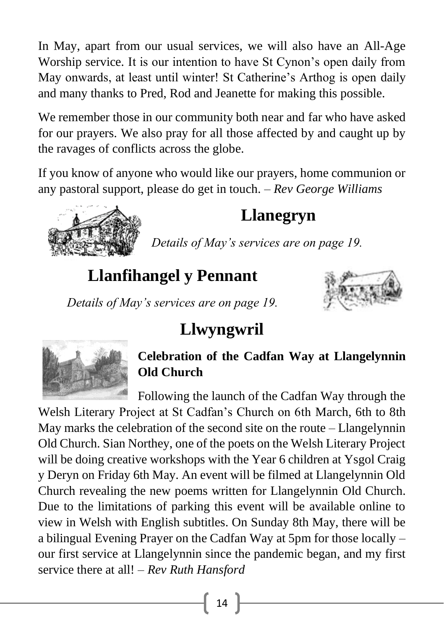In May, apart from our usual services, we will also have an All-Age Worship service. It is our intention to have St Cynon's open daily from May onwards, at least until winter! St Catherine's Arthog is open daily and many thanks to Pred, Rod and Jeanette for making this possible.

We remember those in our community both near and far who have asked for our prayers. We also pray for all those affected by and caught up by the ravages of conflicts across the globe.

If you know of anyone who would like our prayers, home communion or any pastoral support, please do get in touch. – *Rev George Williams*



## **Llanegryn**

*Details of May's services are on page 19.*

## **Llanfihangel y Pennant**



*Details of May's services are on page 19.*

## **Llwyngwril**



### **Celebration of the Cadfan Way at Llangelynnin Old Church**

Following the launch of the Cadfan Way through the

Welsh Literary Project at St Cadfan's Church on 6th March, 6th to 8th May marks the celebration of the second site on the route – Llangelynnin Old Church. Sian Northey, one of the poets on the Welsh Literary Project will be doing creative workshops with the Year 6 children at Ysgol Craig y Deryn on Friday 6th May. An event will be filmed at Llangelynnin Old Church revealing the new poems written for Llangelynnin Old Church. Due to the limitations of parking this event will be available online to view in Welsh with English subtitles. On Sunday 8th May, there will be a bilingual Evening Prayer on the Cadfan Way at 5pm for those locally – our first service at Llangelynnin since the pandemic began, and my first service there at all! – *Rev Ruth Hansford*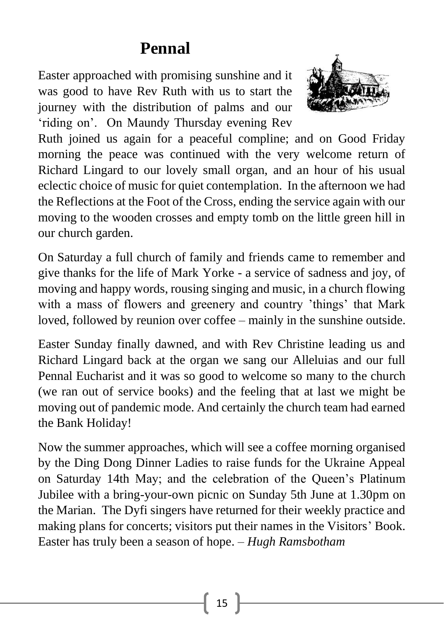### **Pennal**

Easter approached with promising sunshine and it was good to have Rev Ruth with us to start the journey with the distribution of palms and our 'riding on'. On Maundy Thursday evening Rev



Ruth joined us again for a peaceful compline; and on Good Friday morning the peace was continued with the very welcome return of Richard Lingard to our lovely small organ, and an hour of his usual eclectic choice of music for quiet contemplation. In the afternoon we had the Reflections at the Foot of the Cross, ending the service again with our moving to the wooden crosses and empty tomb on the little green hill in our church garden.

On Saturday a full church of family and friends came to remember and give thanks for the life of Mark Yorke - a service of sadness and joy, of moving and happy words, rousing singing and music, in a church flowing with a mass of flowers and greenery and country 'things' that Mark loved, followed by reunion over coffee – mainly in the sunshine outside.

Easter Sunday finally dawned, and with Rev Christine leading us and Richard Lingard back at the organ we sang our Alleluias and our full Pennal Eucharist and it was so good to welcome so many to the church (we ran out of service books) and the feeling that at last we might be moving out of pandemic mode. And certainly the church team had earned the Bank Holiday!

Now the summer approaches, which will see a coffee morning organised by the Ding Dong Dinner Ladies to raise funds for the Ukraine Appeal on Saturday 14th May; and the celebration of the Queen's Platinum Jubilee with a bring-your-own picnic on Sunday 5th June at 1.30pm on the Marian. The Dyfi singers have returned for their weekly practice and making plans for concerts; visitors put their names in the Visitors' Book. Easter has truly been a season of hope. – *Hugh Ramsbotham*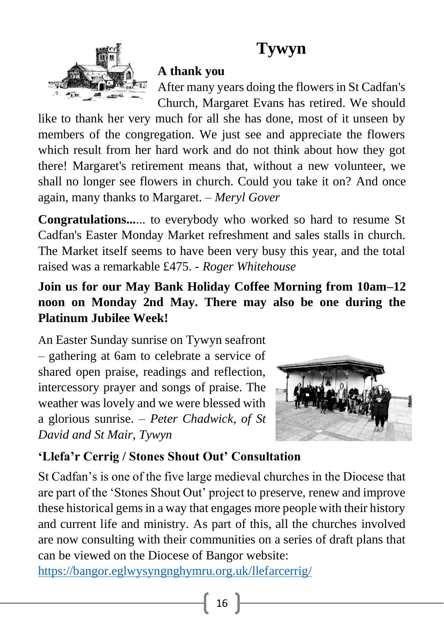## **Tywyn**



#### **A thank you**

After many years doing the flowers in St Cadfan's Church, Margaret Evans has retired. We should

like to thank her very much for all she has done, most of it unseen by members of the congregation. We just see and appreciate the flowers which result from her hard work and do not think about how they got there! Margaret's retirement means that, without a new volunteer, we shall no longer see flowers in church. Could you take it on? And once again, many thanks to Margaret. – *Meryl Gover*

**Congratulations...**... to everybody who worked so hard to resume St Cadfan's Easter Monday Market refreshment and sales stalls in church. The Market itself seems to have been very busy this year, and the total raised was a remarkable £475. - *Roger Whitehouse*

### **Join us for our May Bank Holiday Coffee Morning from 10am–12 noon on Monday 2nd May. There may also be one during the Platinum Jubilee Week!**

An Easter Sunday sunrise on Tywyn seafront – gathering at 6am to celebrate a service of shared open praise, readings and reflection, intercessory prayer and songs of praise. The weather was lovely and we were blessed with a glorious sunrise. – *Peter Chadwick, of St David and St Mair, Tywyn*



### **'Llefa'r Cerrig / Stones Shout Out' Consultation**

St Cadfan's is one of the five large medieval churches in the Diocese that are part of the 'Stones Shout Out' project to preserve, renew and improve these historical gems in a way that engages more people with their history and current life and ministry. As part of this, all the churches involved are now consulting with their communities on a series of draft plans that can be viewed on the Diocese of Bangor website:

<https://bangor.eglwysyngnghymru.org.uk/llefarcerrig/>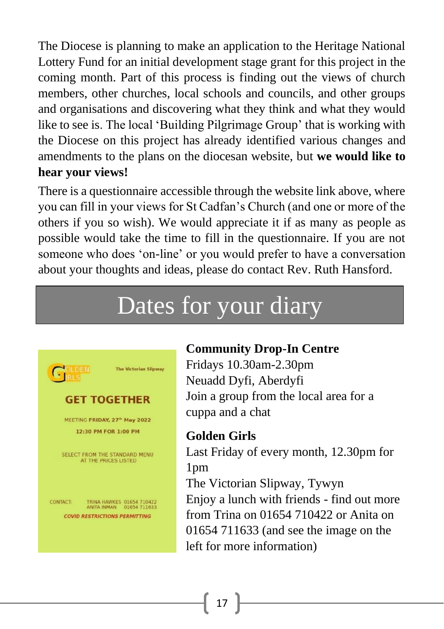The Diocese is planning to make an application to the Heritage National Lottery Fund for an initial development stage grant for this project in the coming month. Part of this process is finding out the views of church members, other churches, local schools and councils, and other groups and organisations and discovering what they think and what they would like to see is. The local 'Building Pilgrimage Group' that is working with the Diocese on this project has already identified various changes and amendments to the plans on the diocesan website, but **we would like to hear your views!**

There is a questionnaire accessible through the website link above, where you can fill in your views for St Cadfan's Church (and one or more of the others if you so wish). We would appreciate it if as many as people as possible would take the time to fill in the questionnaire. If you are not someone who does 'on-line' or you would prefer to have a conversation about your thoughts and ideas, please do contact Rev. Ruth Hansford.

# Dates for your diary



#### **Community Drop-In Centre**

Fridays 10.30am-2.30pm Neuadd Dyfi, Aberdyfi Join a group from the local area for a cuppa and a chat

#### **Golden Girls**

Last Friday of every month, 12.30pm for 1pm The Victorian Slipway, Tywyn Enjoy a lunch with friends - find out more from Trina on 01654 710422 or Anita on 01654 711633 (and see the image on the left for more information)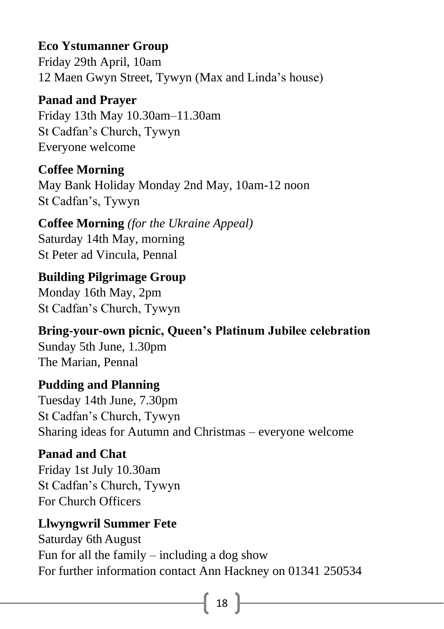### **Eco Ystumanner Group**

Friday 29th April, 10am 12 Maen Gwyn Street, Tywyn (Max and Linda's house)

#### **Panad and Prayer**

Friday 13th May 10.30am–11.30am St Cadfan's Church, Tywyn Everyone welcome

#### **Coffee Morning**

May Bank Holiday Monday 2nd May, 10am-12 noon St Cadfan's, Tywyn

#### **Coffee Morning** *(for the Ukraine Appeal)* Saturday 14th May, morning St Peter ad Vincula, Pennal

**Building Pilgrimage Group** Monday 16th May, 2pm St Cadfan's Church, Tywyn

**Bring-your-own picnic, Queen's Platinum Jubilee celebration** Sunday 5th June, 1.30pm The Marian, Pennal

#### **Pudding and Planning**  Tuesday 14th June, 7.30pm St Cadfan's Church, Tywyn Sharing ideas for Autumn and Christmas – everyone welcome

#### **Panad and Chat**

Friday 1st July 10.30am St Cadfan's Church, Tywyn For Church Officers

#### **Llwyngwril Summer Fete**

Saturday 6th August Fun for all the family – including a dog show For further information contact Ann Hackney on 01341 250534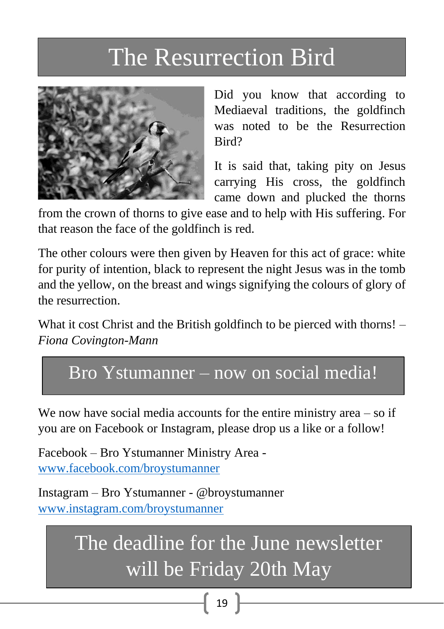# The Resurrection Bird



Did you know that according to Mediaeval traditions, the goldfinch was noted to be the Resurrection Bird?

It is said that, taking pity on Jesus carrying His cross, the goldfinch came down and plucked the thorns

from the crown of thorns to give ease and to help with His suffering. For that reason the face of the goldfinch is red.

The other colours were then given by Heaven for this act of grace: white for purity of intention, black to represent the night Jesus was in the tomb and the yellow, on the breast and wings signifying the colours of glory of the resurrection.

What it cost Christ and the British goldfinch to be pierced with thorns! – *Fiona Covington-Mann*

### Bro Ystumanner – now on social media!

We now have social media accounts for the entire ministry area – so if you are on Facebook or Instagram, please drop us a like or a follow!

Facebook – Bro Ystumanner Ministry Area [www.facebook.com/broystumanner](https://www.facebook.com/broystumanner/)

Instagram – Bro Ystumanner - @broystumanner [www.instagram.com/broystumanner](http://www.instagram.com/broystumanner)

> The deadline for the June newsletter will be Friday 20th May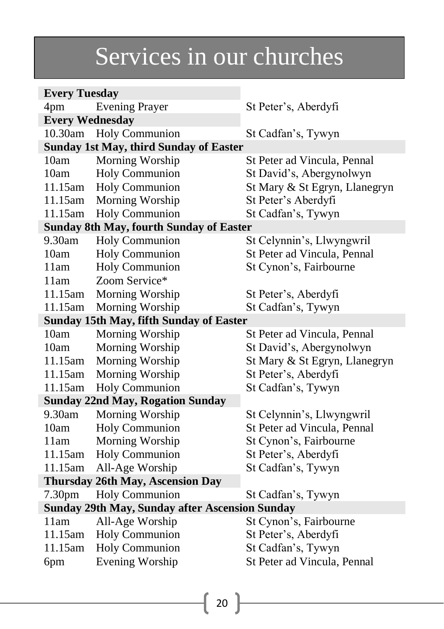# Services in our churches

| <b>Every Tuesday</b>                                  |                                                |                               |  |  |
|-------------------------------------------------------|------------------------------------------------|-------------------------------|--|--|
| 4pm                                                   | <b>Evening Prayer</b>                          | St Peter's, Aberdyfi          |  |  |
| <b>Every Wednesday</b>                                |                                                |                               |  |  |
| 10.30am                                               | <b>Holy Communion</b>                          | St Cadfan's, Tywyn            |  |  |
|                                                       | <b>Sunday 1st May, third Sunday of Easter</b>  |                               |  |  |
| 10am                                                  | Morning Worship                                | St Peter ad Vincula, Pennal   |  |  |
| 10am                                                  | <b>Holy Communion</b>                          | St David's, Abergynolwyn      |  |  |
| 11.15am                                               | Holy Communion                                 | St Mary & St Egryn, Llanegryn |  |  |
| 11.15am                                               | Morning Worship                                | St Peter's Aberdyfi           |  |  |
| 11.15am                                               | Holy Communion                                 | St Cadfan's, Tywyn            |  |  |
| <b>Sunday 8th May, fourth Sunday of Easter</b>        |                                                |                               |  |  |
| 9.30am                                                | <b>Holy Communion</b>                          | St Celynnin's, Llwyngwril     |  |  |
| 10am                                                  | <b>Holy Communion</b>                          | St Peter ad Vincula, Pennal   |  |  |
| 11am                                                  | Holy Communion                                 | St Cynon's, Fairbourne        |  |  |
| 11am                                                  | Zoom Service*                                  |                               |  |  |
| 11.15am                                               | Morning Worship                                | St Peter's, Aberdyfi          |  |  |
| 11.15am                                               | Morning Worship                                | St Cadfan's, Tywyn            |  |  |
|                                                       | <b>Sunday 15th May, fifth Sunday of Easter</b> |                               |  |  |
| 10am                                                  | Morning Worship                                | St Peter ad Vincula, Pennal   |  |  |
| 10am                                                  | Morning Worship                                | St David's, Abergynolwyn      |  |  |
| 11.15am                                               | Morning Worship                                | St Mary & St Egryn, Llanegryn |  |  |
| 11.15am                                               | Morning Worship                                | St Peter's, Aberdyfi          |  |  |
| 11.15am                                               | <b>Holy Communion</b>                          | St Cadfan's, Tywyn            |  |  |
|                                                       | <b>Sunday 22nd May, Rogation Sunday</b>        |                               |  |  |
| 9.30am                                                | Morning Worship                                | St Celynnin's, Llwyngwril     |  |  |
| 10am                                                  | <b>Holy Communion</b>                          | St Peter ad Vincula, Pennal   |  |  |
| 11am                                                  | Morning Worship                                | St Cynon's, Fairbourne        |  |  |
| 11.15am                                               | <b>Holy Communion</b>                          | St Peter's, Aberdyfi          |  |  |
| 11.15am                                               | All-Age Worship                                | St Cadfan's, Tywyn            |  |  |
| Thursday 26th May, Ascension Day                      |                                                |                               |  |  |
| 7.30pm                                                | <b>Holy Communion</b>                          | St Cadfan's, Tywyn            |  |  |
| <b>Sunday 29th May, Sunday after Ascension Sunday</b> |                                                |                               |  |  |
| 11am                                                  | All-Age Worship                                | St Cynon's, Fairbourne        |  |  |
| 11.15am                                               | Holy Communion                                 | St Peter's, Aberdyfi          |  |  |
| 11.15am                                               | <b>Holy Communion</b>                          | St Cadfan's, Tywyn            |  |  |
| 6pm                                                   | <b>Evening Worship</b>                         | St Peter ad Vincula, Pennal   |  |  |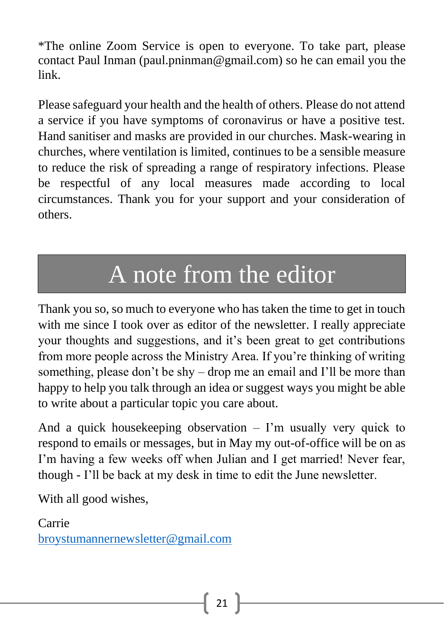\*The online Zoom Service is open to everyone. To take part, please contact Paul Inman (paul.pninman@gmail.com) so he can email you the link.

Please safeguard your health and the health of others. Please do not attend a service if you have symptoms of coronavirus or have a positive test. Hand sanitiser and masks are provided in our churches. Mask-wearing in churches, where ventilation is limited, continues to be a sensible measure to reduce the risk of spreading a range of respiratory infections. Please be respectful of any local measures made according to local circumstances. Thank you for your support and your consideration of others.

# A note from the editor

Thank you so, so much to everyone who has taken the time to get in touch with me since I took over as editor of the newsletter. I really appreciate your thoughts and suggestions, and it's been great to get contributions from more people across the Ministry Area. If you're thinking of writing something, please don't be shy – drop me an email and I'll be more than happy to help you talk through an idea or suggest ways you might be able to write about a particular topic you care about.

And a quick housekeeping observation – I'm usually very quick to respond to emails or messages, but in May my out-of-office will be on as I'm having a few weeks off when Julian and I get married! Never fear, though - I'll be back at my desk in time to edit the June newsletter.

With all good wishes,

Carrie [broystumannernewsletter@gmail.com](mailto:broystumannernewsletter@gmail.com)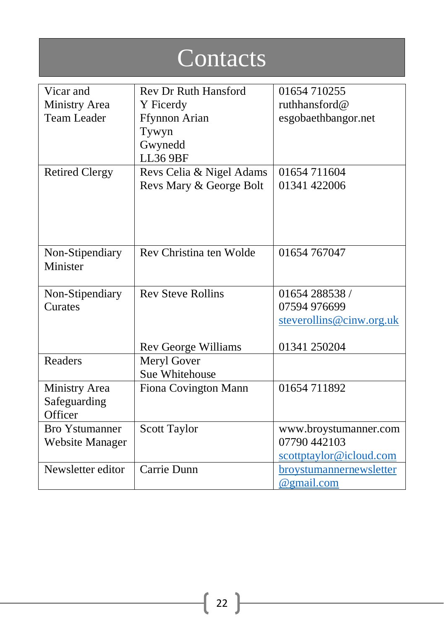| Contacts                    |                             |                          |  |  |  |
|-----------------------------|-----------------------------|--------------------------|--|--|--|
| Vicar and                   | <b>Rev Dr Ruth Hansford</b> | 01654 710255             |  |  |  |
| Ministry Area               | Y Ficerdy                   | ruthhansford@            |  |  |  |
| <b>Team Leader</b>          | <b>Ffynnon Arian</b>        | esgobaethbangor.net      |  |  |  |
|                             | Tywyn                       |                          |  |  |  |
|                             | Gwynedd                     |                          |  |  |  |
|                             | <b>LL36 9BF</b>             |                          |  |  |  |
| <b>Retired Clergy</b>       | Revs Celia & Nigel Adams    | 01654 711604             |  |  |  |
|                             | Revs Mary & George Bolt     | 01341 422006             |  |  |  |
|                             |                             |                          |  |  |  |
|                             |                             |                          |  |  |  |
|                             |                             |                          |  |  |  |
|                             | Rev Christina ten Wolde     | 01654 767047             |  |  |  |
| Non-Stipendiary<br>Minister |                             |                          |  |  |  |
|                             |                             |                          |  |  |  |
| Non-Stipendiary             | <b>Rev Steve Rollins</b>    | 01654 288538 /           |  |  |  |
| Curates                     |                             | 07594 976699             |  |  |  |
|                             |                             | steverollins@cinw.org.uk |  |  |  |
|                             |                             |                          |  |  |  |
|                             | Rev George Williams         | 01341 250204             |  |  |  |
| Readers                     | Meryl Gover                 |                          |  |  |  |
|                             | Sue Whitehouse              |                          |  |  |  |
| Ministry Area               | Fiona Covington Mann        | 01654 711892             |  |  |  |
| Safeguarding                |                             |                          |  |  |  |
| Officer                     |                             |                          |  |  |  |
| <b>Bro Ystumanner</b>       | Scott Taylor                | www.broystumanner.com    |  |  |  |
| <b>Website Manager</b>      |                             | 07790 442103             |  |  |  |
| Newsletter editor           | Carrie Dunn                 | scottptaylor@icloud.com  |  |  |  |
|                             |                             | broystumannernewsletter  |  |  |  |
|                             |                             | @gmail.com               |  |  |  |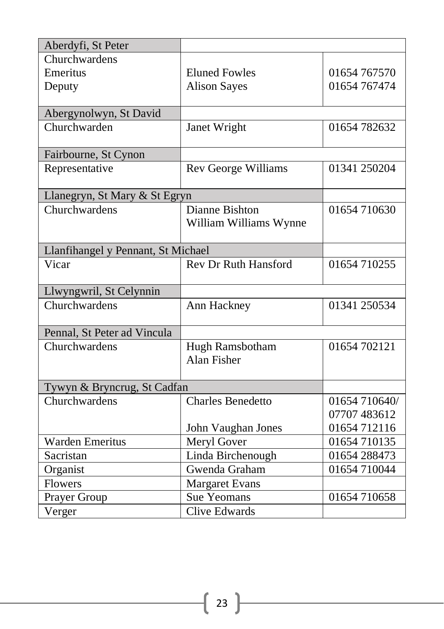| Aberdyfi, St Peter                 |                             |               |  |
|------------------------------------|-----------------------------|---------------|--|
| Churchwardens                      |                             |               |  |
| Emeritus                           | <b>Eluned Fowles</b>        | 01654 767570  |  |
| Deputy                             | <b>Alison Sayes</b>         | 01654 767474  |  |
|                                    |                             |               |  |
| Abergynolwyn, St David             |                             |               |  |
| Churchwarden                       | Janet Wright                | 01654 782632  |  |
|                                    |                             |               |  |
| Fairbourne, St Cynon               |                             |               |  |
| Representative                     | <b>Rev George Williams</b>  | 01341 250204  |  |
| Llanegryn, St Mary & St Egryn      |                             |               |  |
| Churchwardens                      | Dianne Bishton              | 01654 710630  |  |
|                                    | William Williams Wynne      |               |  |
|                                    |                             |               |  |
| Llanfihangel y Pennant, St Michael |                             |               |  |
| Vicar                              | <b>Rev Dr Ruth Hansford</b> | 01654 710255  |  |
| Llwyngwril, St Celynnin            |                             |               |  |
| Churchwardens                      | Ann Hackney                 | 01341 250534  |  |
| Pennal, St Peter ad Vincula        |                             |               |  |
| Churchwardens                      | Hugh Ramsbotham             | 01654 702121  |  |
|                                    | <b>Alan Fisher</b>          |               |  |
|                                    |                             |               |  |
| Tywyn & Bryncrug, St Cadfan        |                             |               |  |
| Churchwardens                      | <b>Charles Benedetto</b>    | 01654 710640/ |  |
|                                    |                             | 07707 483612  |  |
|                                    | John Vaughan Jones          | 01654 712116  |  |
| <b>Warden Emeritus</b>             | Meryl Gover                 | 01654 710135  |  |
| Sacristan                          | Linda Birchenough           | 01654 288473  |  |
| Organist                           | Gwenda Graham               | 01654 710044  |  |
| <b>Flowers</b>                     | <b>Margaret Evans</b>       |               |  |
| Prayer Group                       | Sue Yeomans                 | 01654 710658  |  |
| Verger                             | <b>Clive Edwards</b>        |               |  |